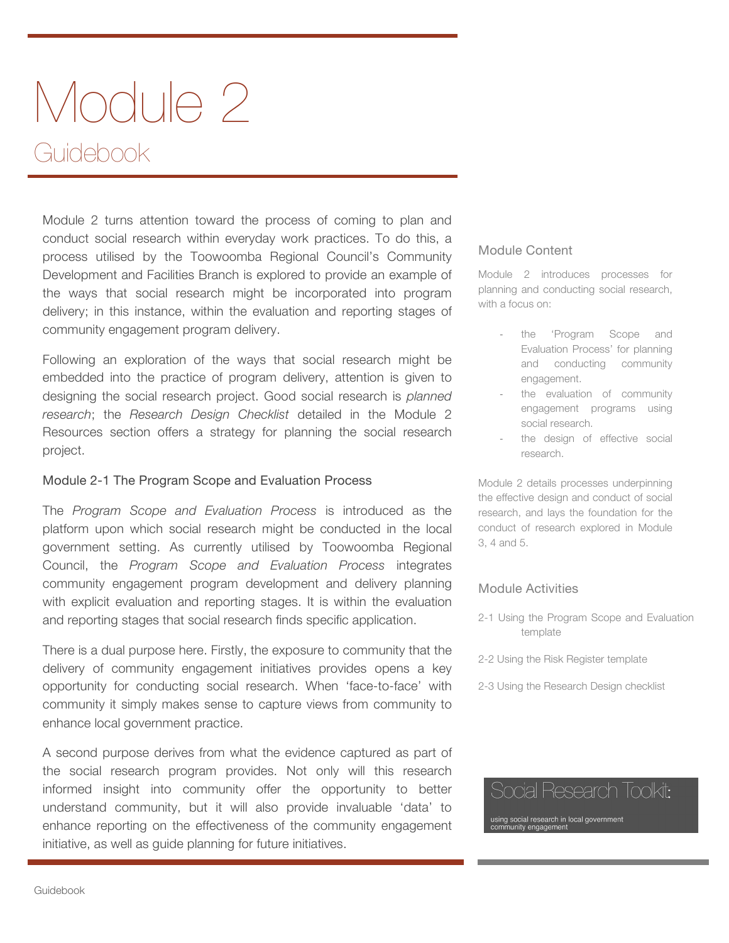# Module 2 Guidebook

Module 2 turns attention toward the process of coming to plan and conduct social research within everyday work practices. To do this, a process utilised by the Toowoomba Regional Council's Community Development and Facilities Branch is explored to provide an example of the ways that social research might be incorporated into program delivery; in this instance, within the evaluation and reporting stages of community engagement program delivery.

Following an exploration of the ways that social research might be embedded into the practice of program delivery, attention is given to designing the social research project. Good social research is *planned research*; the *Research Design Checklist* detailed in the Module 2 Resources section offers a strategy for planning the social research project.

#### Module 2-1 The Program Scope and Evaluation Process

The *Program Scope and Evaluation Process* is introduced as the platform upon which social research might be conducted in the local government setting. As currently utilised by Toowoomba Regional Council, the *Program Scope and Evaluation Process* integrates community engagement program development and delivery planning with explicit evaluation and reporting stages. It is within the evaluation and reporting stages that social research finds specific application.

There is a dual purpose here. Firstly, the exposure to community that the delivery of community engagement initiatives provides opens a key opportunity for conducting social research. When 'face-to-face' with community it simply makes sense to capture views from community to enhance local government practice.

A second purpose derives from what the evidence captured as part of the social research program provides. Not only will this research informed insight into community offer the opportunity to better understand community, but it will also provide invaluable 'data' to enhance reporting on the effectiveness of the community engagement initiative, as well as guide planning for future initiatives.

#### Module Content

Module 2 introduces processes for planning and conducting social research, with a focus on:

- the 'Program Scope and Evaluation Process' for planning and conducting community engagement.
- the evaluation of community engagement programs using social research.
- the design of effective social research.

Module 2 details processes underpinning the effective design and conduct of social research, and lays the foundation for the conduct of research explored in Module 3, 4 and 5.

#### Module Activities

- 2-1 Using the Program Scope and Evaluation template
- 2-2 Using the Risk Register template
- 2-3 Using the Research Design checklist

## Social Research Toolkit:

using social research in local government<br>community engagement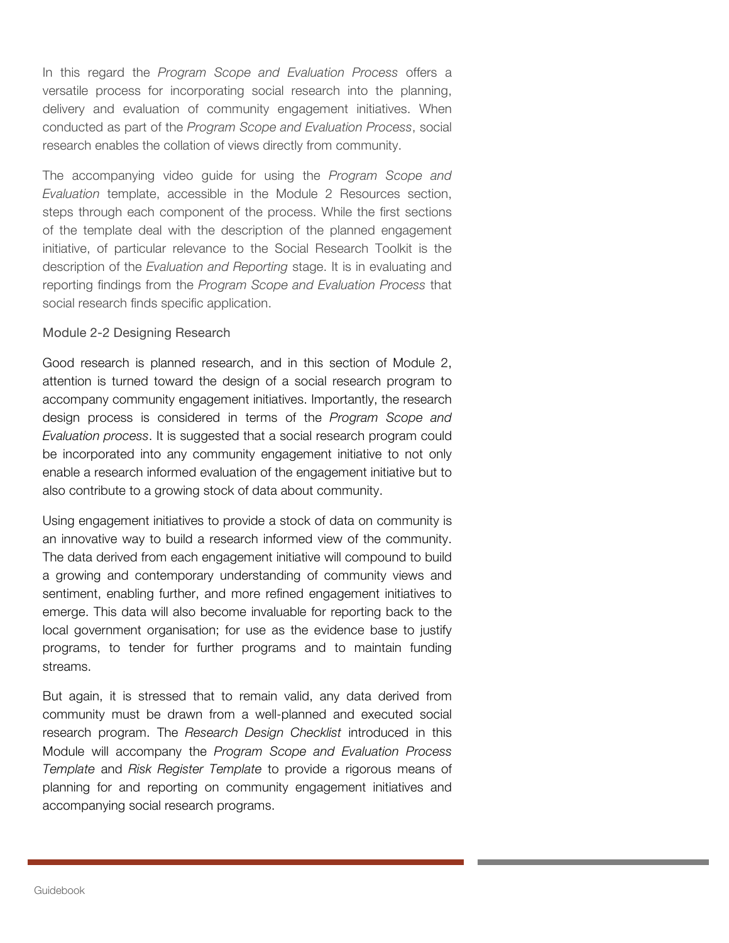In this regard the *Program Scope and Evaluation Process* offers a versatile process for incorporating social research into the planning, delivery and evaluation of community engagement initiatives. When conducted as part of the *Program Scope and Evaluation Process*, social research enables the collation of views directly from community.

The accompanying video guide for using the *Program Scope and Evaluation* template, accessible in the Module 2 Resources section, steps through each component of the process. While the first sections of the template deal with the description of the planned engagement initiative, of particular relevance to the Social Research Toolkit is the description of the *Evaluation and Reporting* stage. It is in evaluating and reporting findings from the *Program Scope and Evaluation Process* that social research finds specific application.

#### Module 2-2 Designing Research

Good research is planned research, and in this section of Module 2, attention is turned toward the design of a social research program to accompany community engagement initiatives. Importantly, the research design process is considered in terms of the *Program Scope and Evaluation process*. It is suggested that a social research program could be incorporated into any community engagement initiative to not only enable a research informed evaluation of the engagement initiative but to also contribute to a growing stock of data about community.

Using engagement initiatives to provide a stock of data on community is an innovative way to build a research informed view of the community. The data derived from each engagement initiative will compound to build a growing and contemporary understanding of community views and sentiment, enabling further, and more refined engagement initiatives to emerge. This data will also become invaluable for reporting back to the local government organisation; for use as the evidence base to justify programs, to tender for further programs and to maintain funding streams.

But again, it is stressed that to remain valid, any data derived from community must be drawn from a well-planned and executed social research program. The *Research Design Checklist* introduced in this Module will accompany the *Program Scope and Evaluation Process Template* and *Risk Register Template* to provide a rigorous means of planning for and reporting on community engagement initiatives and accompanying social research programs.